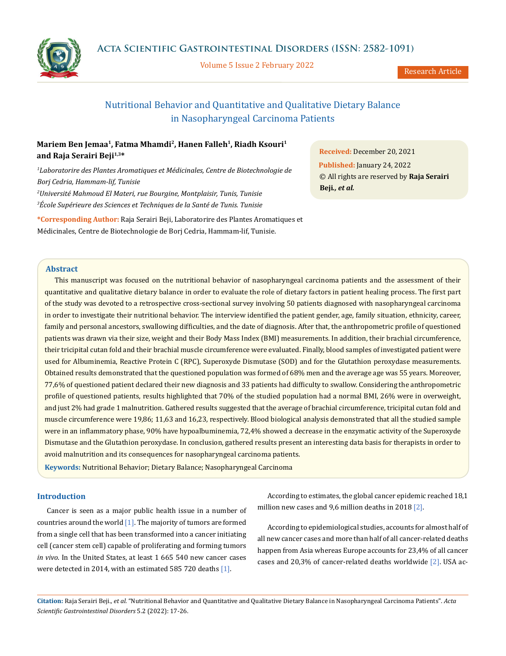

Volume 5 Issue 2 February 2022

# Nutritional Behavior and Quantitative and Qualitative Dietary Balance in Nasopharyngeal Carcinoma Patients

# **Mariem Ben Jemaa1, Fatma Mhamdi2, Hanen Falleh1, Riadh Ksouri1 and Raja Serairi Beji1,3\***

 *Laboratorire des Plantes Aromatiques et Médicinales, Centre de Biotechnologie de Borj Cedria, Hammam-lif, Tunisie Université Mahmoud El Materi, rue Bourgine, Montplaisir, Tunis, Tunisie École Supérieure des Sciences et Techniques de la Santé de Tunis. Tunisie*

**\*Corresponding Author:** Raja Serairi Beji, Laboratorire des Plantes Aromatiques et Médicinales, Centre de Biotechnologie de Borj Cedria, Hammam-lif, Tunisie.

**Received:** December 20, 2021 **Published:** January 24, 2022 © All rights are reserved by **Raja Serairi Beji***., et al.*

# **Abstract**

This manuscript was focused on the nutritional behavior of nasopharyngeal carcinoma patients and the assessment of their quantitative and qualitative dietary balance in order to evaluate the role of dietary factors in patient healing process. The first part of the study was devoted to a retrospective cross-sectional survey involving 50 patients diagnosed with nasopharyngeal carcinoma in order to investigate their nutritional behavior. The interview identified the patient gender, age, family situation, ethnicity, career, family and personal ancestors, swallowing difficulties, and the date of diagnosis. After that, the anthropometric profile of questioned patients was drawn via their size, weight and their Body Mass Index (BMI) measurements. In addition, their brachial circumference, their tricipital cutan fold and their brachial muscle circumference were evaluated. Finally, blood samples of investigated patient were used for Albuminemia, Reactive Protein C (RPC), Superoxyde Dismutase (SOD) and for the Glutathion peroxydase measurements. Obtained results demonstrated that the questioned population was formed of 68% men and the average age was 55 years. Moreover, 77,6% of questioned patient declared their new diagnosis and 33 patients had difficulty to swallow. Considering the anthropometric profile of questioned patients, results highlighted that 70% of the studied population had a normal BMI, 26% were in overweight, and just 2% had grade 1 malnutrition. Gathered results suggested that the average of brachial circumference, tricipital cutan fold and muscle circumference were 19,86; 11,63 and 16,23, respectively. Blood biological analysis demonstrated that all the studied sample were in an inflammatory phase, 90% have hypoalbuminemia, 72,4% showed a decrease in the enzymatic activity of the Superoxyde Dismutase and the Glutathion peroxydase. In conclusion, gathered results present an interesting data basis for therapists in order to avoid malnutrition and its consequences for nasopharyngeal carcinoma patients.

**Keywords:** Nutritional Behavior; Dietary Balance; Nasopharyngeal Carcinoma

# **Introduction**

Cancer is seen as a major public health issue in a number of countries around the world  $[1]$ . The majority of tumors are formed from a single cell that has been transformed into a cancer initiating cell (cancer stem cell) capable of proliferating and forming tumors *in vivo*. In the United States, at least 1 665 540 new cancer cases were detected in 2014, with an estimated 585 720 deaths [1].

According to estimates, the global cancer epidemic reached 18,1 million new cases and 9,6 million deaths in 2018 [2].

According to epidemiological studies, accounts for almost half of all new cancer cases and more than half of all cancer-related deaths happen from Asia whereas Europe accounts for 23,4% of all cancer cases and 20,3% of cancer-related deaths worldwide [2]. USA ac-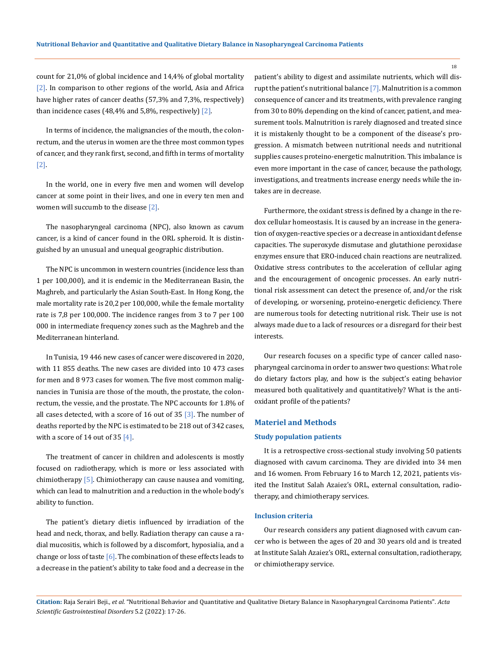count for 21,0% of global incidence and 14,4% of global mortality [2]. In comparison to other regions of the world, Asia and Africa have higher rates of cancer deaths (57,3% and 7,3%, respectively) than incidence cases  $(48, 4\%$  and 5,8%, respectively)  $[2]$ .

In terms of incidence, the malignancies of the mouth, the colonrectum, and the uterus in women are the three most common types of cancer, and they rank first, second, and fifth in terms of mortality [2].

In the world, one in every five men and women will develop cancer at some point in their lives, and one in every ten men and women will succumb to the disease [2].

The nasopharyngeal carcinoma (NPC), also known as cavum cancer, is a kind of cancer found in the ORL spheroid. It is distinguished by an unusual and unequal geographic distribution.

The NPC is uncommon in western countries (incidence less than 1 per 100,000), and it is endemic in the Mediterranean Basin, the Maghreb, and particularly the Asian South-East. In Hong Kong, the male mortality rate is 20,2 per 100,000, while the female mortality rate is 7,8 per 100,000. The incidence ranges from 3 to 7 per 100 000 in intermediate frequency zones such as the Maghreb and the Mediterranean hinterland.

In Tunisia, 19 446 new cases of cancer were discovered in 2020, with 11 855 deaths. The new cases are divided into 10 473 cases for men and 8 973 cases for women. The five most common malignancies in Tunisia are those of the mouth, the prostate, the colonrectum, the vessie, and the prostate. The NPC accounts for 1.8% of all cases detected, with a score of 16 out of 35  $[3]$ . The number of deaths reported by the NPC is estimated to be 218 out of 342 cases, with a score of 14 out of 35 [4].

The treatment of cancer in children and adolescents is mostly focused on radiotherapy, which is more or less associated with chimiotherapy [5]. Chimiotherapy can cause nausea and vomiting, which can lead to malnutrition and a reduction in the whole body's ability to function.

The patient's dietary dietis influenced by irradiation of the head and neck, thorax, and belly. Radiation therapy can cause a radial mucositis, which is followed by a discomfort, hyposialia, and a change or loss of taste  $\lceil 6 \rceil$ . The combination of these effects leads to a decrease in the patient's ability to take food and a decrease in the patient's ability to digest and assimilate nutrients, which will disrupt the patient's nutritional balance [7]. Malnutrition is a common consequence of cancer and its treatments, with prevalence ranging from 30 to 80% depending on the kind of cancer, patient, and measurement tools. Malnutrition is rarely diagnosed and treated since it is mistakenly thought to be a component of the disease's progression. A mismatch between nutritional needs and nutritional supplies causes proteino-energetic malnutrition. This imbalance is even more important in the case of cancer, because the pathology, investigations, and treatments increase energy needs while the intakes are in decrease.

Furthermore, the oxidant stress is defined by a change in the redox cellular homeostasis. It is caused by an increase in the generation of oxygen-reactive species or a decrease in antioxidant defense capacities. The superoxyde dismutase and glutathione peroxidase enzymes ensure that ERO-induced chain reactions are neutralized. Oxidative stress contributes to the acceleration of cellular aging and the encouragement of oncogenic processes. An early nutritional risk assessment can detect the presence of, and/or the risk of developing, or worsening, proteino-energetic deficiency. There are numerous tools for detecting nutritional risk. Their use is not always made due to a lack of resources or a disregard for their best interests.

Our research focuses on a specific type of cancer called nasopharyngeal carcinoma in order to answer two questions: What role do dietary factors play, and how is the subject's eating behavior measured both qualitatively and quantitatively? What is the antioxidant profile of the patients?

### **Materiel and Methods**

#### **Study population patients**

It is a retrospective cross-sectional study involving 50 patients diagnosed with cavum carcinoma. They are divided into 34 men and 16 women. From February 16 to March 12, 2021, patients visited the Institut Salah Azaiez's ORL, external consultation, radiotherapy, and chimiotherapy services.

### **Inclusion criteria**

Our research considers any patient diagnosed with cavum cancer who is between the ages of 20 and 30 years old and is treated at Institute Salah Azaiez's ORL, external consultation, radiotherapy, or chimiotherapy service.

**Citation:** Raja Serairi Beji*., et al.* "Nutritional Behavior and Quantitative and Qualitative Dietary Balance in Nasopharyngeal Carcinoma Patients". *Acta Scientific Gastrointestinal Disorders* 5.2 (2022): 17-26.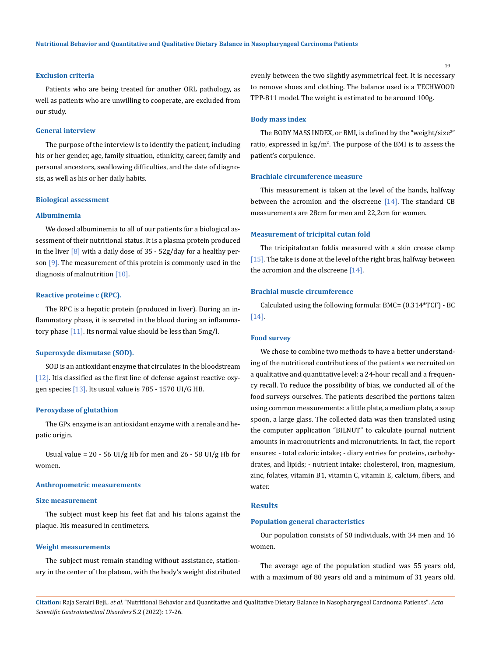#### **Exclusion criteria**

Patients who are being treated for another ORL pathology, as well as patients who are unwilling to cooperate, are excluded from our study.

#### **General interview**

The purpose of the interview is to identify the patient, including his or her gender, age, family situation, ethnicity, career, family and personal ancestors, swallowing difficulties, and the date of diagnosis, as well as his or her daily habits.

#### **Biological assessment**

### **Albuminemia**

We dosed albuminemia to all of our patients for a biological assessment of their nutritional status. It is a plasma protein produced in the liver  $[8]$  with a daily dose of  $35 - 52g$ /day for a healthy person [9]. The measurement of this protein is commonly used in the diagnosis of malnutrition [10].

### **Reactive proteine c (RPC).**

The RPC is a hepatic protein (produced in liver). During an inflammatory phase, it is secreted in the blood during an inflammatory phase [11]. Its normal value should be less than 5mg/l.

### **Superoxyde dismutase (SOD).**

SOD is an antioxidant enzyme that circulates in the bloodstream [12]. Itis classified as the first line of defense against reactive oxygen species  $[13]$ . Its usual value is 785 - 1570 UI/G HB.

#### **Peroxydase of glutathion**

The GPx enzyme is an antioxidant enzyme with a renale and hepatic origin.

Usual value =  $20 - 56$  UI/g Hb for men and  $26 - 58$  UI/g Hb for women.

### **Anthropometric measurements**

### **Size measurement**

The subject must keep his feet flat and his talons against the plaque. Itis measured in centimeters.

### **Weight measurements**

The subject must remain standing without assistance, stationary in the center of the plateau, with the body's weight distributed evenly between the two slightly asymmetrical feet. It is necessary to remove shoes and clothing. The balance used is a TECHWOOD TPP-811 model. The weight is estimated to be around 100g.

#### **Body mass index**

The BODY MASS INDEX, or BMI, is defined by the "weight/size $^{2^m}$ ratio, expressed in kg/m<sup>2</sup>. The purpose of the BMI is to assess the patient's corpulence.

#### **Brachiale circumference measure**

This measurement is taken at the level of the hands, halfway between the acromion and the olscreene [14]. The standard CB measurements are 28cm for men and 22,2cm for women.

#### **Measurement of tricipital cutan fold**

The tricipitalcutan foldis measured with a skin crease clamp [15]. The take is done at the level of the right bras, halfway between the acromion and the olscreene [14].

## **Brachial muscle circumference**

Calculated using the following formula: BMC= (0.314\*TCF) - BC [14].

#### **Food survey**

We chose to combine two methods to have a better understanding of the nutritional contributions of the patients we recruited on a qualitative and quantitative level: a 24-hour recall and a frequency recall. To reduce the possibility of bias, we conducted all of the food surveys ourselves. The patients described the portions taken using common measurements: a little plate, a medium plate, a soup spoon, a large glass. The collected data was then translated using the computer application "BILNUT" to calculate journal nutrient amounts in macronutrients and micronutrients. In fact, the report ensures: - total caloric intake; - diary entries for proteins, carbohydrates, and lipids; - nutrient intake: cholesterol, iron, magnesium, zinc, folates, vitamin B1, vitamin C, vitamin E, calcium, fibers, and water.

### **Results**

### **Population general characteristics**

Our population consists of 50 individuals, with 34 men and 16 women.

The average age of the population studied was 55 years old, with a maximum of 80 years old and a minimum of 31 years old.

**Citation:** Raja Serairi Beji*., et al.* "Nutritional Behavior and Quantitative and Qualitative Dietary Balance in Nasopharyngeal Carcinoma Patients". *Acta Scientific Gastrointestinal Disorders* 5.2 (2022): 17-26.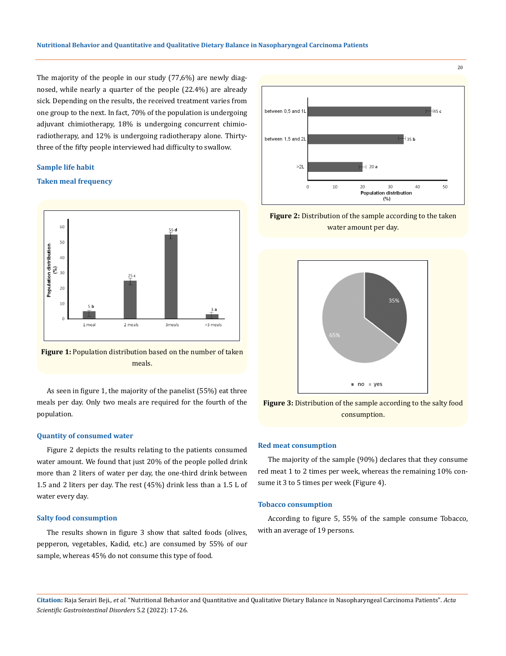The majority of the people in our study (77,6%) are newly diagnosed, while nearly a quarter of the people (22.4%) are already sick. Depending on the results, the received treatment varies from one group to the next. In fact, 70% of the population is undergoing adjuvant chimiotherapy, 18% is undergoing concurrent chimioradiotherapy, and 12% is undergoing radiotherapy alone. Thirtythree of the fifty people interviewed had difficulty to swallow.

#### **Sample life habit**

### **Taken meal frequency**





As seen in figure 1, the majority of the panelist (55%) eat three meals per day. Only two meals are required for the fourth of the population.

### **Quantity of consumed water**

Figure 2 depicts the results relating to the patients consumed water amount. We found that just 20% of the people polled drink more than 2 liters of water per day, the one-third drink between 1.5 and 2 liters per day. The rest (45%) drink less than a 1.5 L of water every day.

### **Salty food consumption**

The results shown in figure 3 show that salted foods (olives, pepperon, vegetables, Kadid, etc.) are consumed by 55% of our sample, whereas 45% do not consume this type of food.



**Figure 2:** Distribution of the sample according to the taken water amount per day.





### **Red meat consumption**

The majority of the sample (90%) declares that they consume red meat 1 to 2 times per week, whereas the remaining 10% consume it 3 to 5 times per week (Figure 4).

### **Tobacco consumption**

According to figure 5, 55% of the sample consume Tobacco, with an average of 19 persons.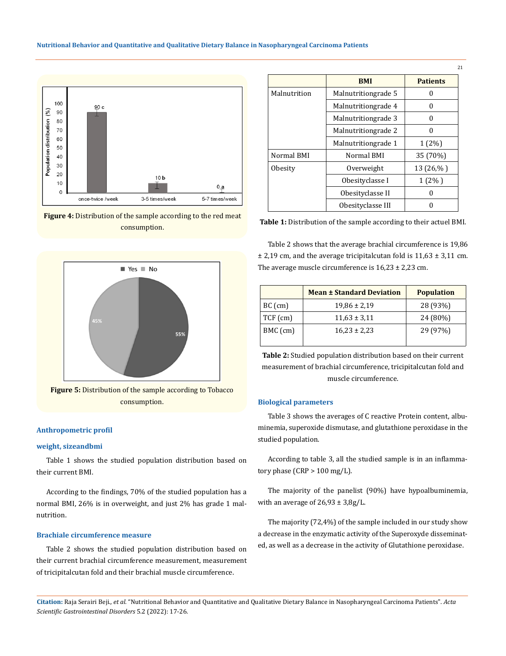

**Figure 4:** Distribution of the sample according to the red meat consumption.



### **Anthropometric profil**

### **weight, sizeandbmi**

Table 1 shows the studied population distribution based on their current BMI.

According to the findings, 70% of the studied population has a normal BMI, 26% is in overweight, and just 2% has grade 1 malnutrition.

### **Brachiale circumference measure**

Table 2 shows the studied population distribution based on their current brachial circumference measurement, measurement of tricipitalcutan fold and their brachial muscle circumference.

|              | <b>BMI</b>          | <b>Patients</b> |
|--------------|---------------------|-----------------|
| Malnutrition | Malnutritiongrade 5 | O               |
|              | Malnutritiongrade 4 | 0               |
|              | Malnutritiongrade 3 | 0               |
|              | Malnutritiongrade 2 | O               |
|              | Malnutritiongrade 1 | $1(2\%)$        |
| Normal BMI   | Normal BMI          | 35 (70%)        |
| Obesity      | Overweight          | $13(26,\%)$     |
|              | Obesityclasse I     | $1(2\%)$        |
|              | Obesityclasse II    |                 |
|              | Obesityclasse III   |                 |

21

**Table 1:** Distribution of the sample according to their actuel BMI.

Table 2 shows that the average brachial circumference is 19,86  $±$  2,19 cm, and the average tricipitalcutan fold is 11,63  $±$  3,11 cm. The average muscle circumference is  $16,23 \pm 2,23$  cm.

|                              | <b>Mean ± Standard Deviation</b> | <b>Population</b> |
|------------------------------|----------------------------------|-------------------|
| $BC$ (cm)                    | $19,86 \pm 2,19$                 | 28 (93%)          |
| $TCF$ (cm)                   | $11,63 \pm 3,11$                 | 24 (80%)          |
| BMC (cm)<br>$16,23 \pm 2,23$ |                                  | 29 (97%)          |

**Table 2:** Studied population distribution based on their current measurement of brachial circumference, tricipitalcutan fold and muscle circumference.

#### **Biological parameters**

Table 3 shows the averages of C reactive Protein content, albuminemia, superoxide dismutase, and glutathione peroxidase in the studied population.

According to table 3, all the studied sample is in an inflammatory phase (CRP > 100 mg/L).

The majority of the panelist (90%) have hypoalbuminemia, with an average of  $26,93 \pm 3,8g/L$ .

The majority (72,4%) of the sample included in our study show a decrease in the enzymatic activity of the Superoxyde disseminated, as well as a decrease in the activity of Glutathione peroxidase.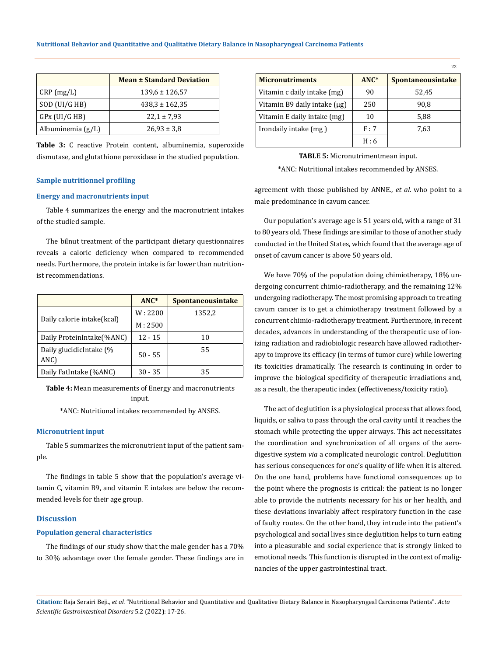|                     | <b>Mean ± Standard Deviation</b> |
|---------------------|----------------------------------|
| CRP(mg/L)           | $139,6 \pm 126,57$               |
| SOD (UI/G HB)       | $438.3 \pm 162.35$               |
| $GPX$ (UI/G HB)     | $22.1 \pm 7.93$                  |
| Albuminemia $(g/L)$ | $26,93 \pm 3,8$                  |

**Table 3:** C reactive Protein content, albuminemia, superoxide dismutase, and glutathione peroxidase in the studied population.

#### **Sample nutritionnel profiling**

#### **Energy and macronutrients input**

Table 4 summarizes the energy and the macronutrient intakes of the studied sample.

The bilnut treatment of the participant dietary questionnaires reveals a caloric deficiency when compared to recommended needs. Furthermore, the protein intake is far lower than nutritionist recommendations.

|                                 | $ANC*$    | <b>Spontaneousintake</b> |
|---------------------------------|-----------|--------------------------|
|                                 | W: 2200   | 1352,2                   |
| Daily calorie intake(kcal)      | M: 2500   |                          |
| Daily ProteinIntake(%ANC)       | $12 - 15$ | 10                       |
| Daily glucidicIntake (%<br>ANC) | $50 - 55$ | 55                       |
| Daily FatIntake (%ANC)          | $30 - 35$ | 35                       |

**Table 4:** Mean measurements of Energy and macronutrients input.

\*ANC: Nutritional intakes recommended by ANSES.

#### **Micronutrient input**

Table 5 summarizes the micronutrient input of the patient sample.

The findings in table 5 show that the population's average vitamin C, vitamin B9, and vitamin E intakes are below the recommended levels for their age group.

### **Discussion**

#### **Population general characteristics**

The findings of our study show that the male gender has a 70% to 30% advantage over the female gender. These findings are in

| <b>Micronutriments</b>            | $ANC*$ | <b>Spontaneousintake</b> |
|-----------------------------------|--------|--------------------------|
| Vitamin c daily intake (mg)       | 90     | 52.45                    |
| Vitamin B9 daily intake $(\mu g)$ | 250    | 90.8                     |
| Vitamin E daily intake (mg)       | 10     | 5,88                     |
| Irondaily intake (mg)             | F:7    | 7.63                     |
|                                   | H:6    |                          |

22

**TABLE 5:** Micronutrimentmean input.

\*ANC: Nutritional intakes recommended by ANSES.

agreement with those published by ANNE., *et al*. who point to a male predominance in cavum cancer.

Our population's average age is 51 years old, with a range of 31 to 80 years old. These findings are similar to those of another study conducted in the United States, which found that the average age of onset of cavum cancer is above 50 years old.

We have 70% of the population doing chimiotherapy, 18% undergoing concurrent chimio-radiotherapy, and the remaining 12% undergoing radiotherapy. The most promising approach to treating cavum cancer is to get a chimiotherapy treatment followed by a concurrent chimio-radiotherapy treatment. Furthermore, in recent decades, advances in understanding of the therapeutic use of ionizing radiation and radiobiologic research have allowed radiotherapy to improve its efficacy (in terms of tumor cure) while lowering its toxicities dramatically. The research is continuing in order to improve the biological specificity of therapeutic irradiations and, as a result, the therapeutic index (effectiveness/toxicity ratio).

The act of deglutition is a physiological process that allows food, liquids, or saliva to pass through the oral cavity until it reaches the stomach while protecting the upper airways. This act necessitates the coordination and synchronization of all organs of the aerodigestive system *via* a complicated neurologic control. Deglutition has serious consequences for one's quality of life when it is altered. On the one hand, problems have functional consequences up to the point where the prognosis is critical: the patient is no longer able to provide the nutrients necessary for his or her health, and these deviations invariably affect respiratory function in the case of faulty routes. On the other hand, they intrude into the patient's psychological and social lives since deglutition helps to turn eating into a pleasurable and social experience that is strongly linked to emotional needs. This function is disrupted in the context of malignancies of the upper gastrointestinal tract.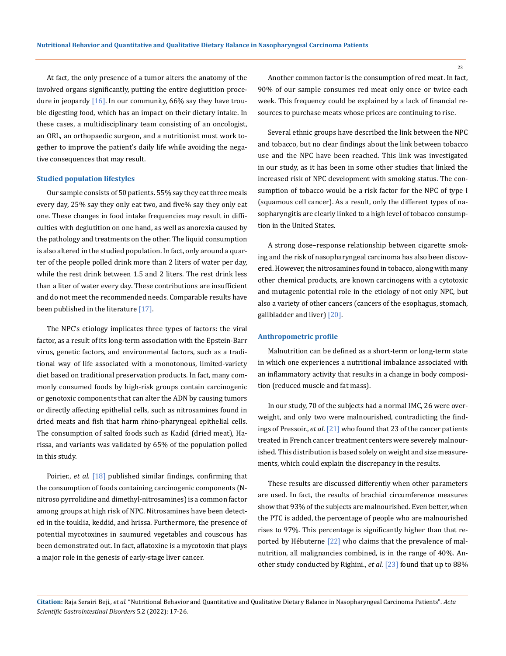At fact, the only presence of a tumor alters the anatomy of the involved organs significantly, putting the entire deglutition procedure in jeopardy  $[16]$ . In our community, 66% say they have trouble digesting food, which has an impact on their dietary intake. In these cases, a multidisciplinary team consisting of an oncologist, an ORL, an orthopaedic surgeon, and a nutritionist must work together to improve the patient's daily life while avoiding the negative consequences that may result.

#### **Studied population lifestyles**

Our sample consists of 50 patients. 55% say they eat three meals every day, 25% say they only eat two, and five% say they only eat one. These changes in food intake frequencies may result in difficulties with deglutition on one hand, as well as anorexia caused by the pathology and treatments on the other. The liquid consumption is also altered in the studied population. In fact, only around a quarter of the people polled drink more than 2 liters of water per day, while the rest drink between 1.5 and 2 liters. The rest drink less than a liter of water every day. These contributions are insufficient and do not meet the recommended needs. Comparable results have been published in the literature [17].

The NPC's etiology implicates three types of factors: the viral factor, as a result of its long-term association with the Epstein-Barr virus, genetic factors, and environmental factors, such as a traditional way of life associated with a monotonous, limited-variety diet based on traditional preservation products. In fact, many commonly consumed foods by high-risk groups contain carcinogenic or genotoxic components that can alter the ADN by causing tumors or directly affecting epithelial cells, such as nitrosamines found in dried meats and fish that harm rhino-pharyngeal epithelial cells. The consumption of salted foods such as Kadid (dried meat), Harissa, and variants was validated by 65% of the population polled in this study.

Poirier., *et al*. [18] published similar findings, confirming that the consumption of foods containing carcinogenic components (Nnitroso pyrrolidine and dimethyl-nitrosamines) is a common factor among groups at high risk of NPC. Nitrosamines have been detected in the touklia, keddid, and hrissa. Furthermore, the presence of potential mycotoxines in saumured vegetables and couscous has been demonstrated out. In fact, aflatoxine is a mycotoxin that plays a major role in the genesis of early-stage liver cancer.

Another common factor is the consumption of red meat. In fact, 90% of our sample consumes red meat only once or twice each week. This frequency could be explained by a lack of financial resources to purchase meats whose prices are continuing to rise.

Several ethnic groups have described the link between the NPC and tobacco, but no clear findings about the link between tobacco use and the NPC have been reached. This link was investigated in our study, as it has been in some other studies that linked the increased risk of NPC development with smoking status. The consumption of tobacco would be a risk factor for the NPC of type I (squamous cell cancer). As a result, only the different types of nasopharyngitis are clearly linked to a high level of tobacco consumption in the United States.

A strong dose–response relationship between cigarette smoking and the risk of nasopharyngeal carcinoma has also been discovered. However, the nitrosamines found in tobacco, along with many other chemical products, are known carcinogens with a cytotoxic and mutagenic potential role in the etiology of not only NPC, but also a variety of other cancers (cancers of the esophagus, stomach, gallbladder and liver) [20].

#### **Anthropometric profile**

Malnutrition can be defined as a short-term or long-term state in which one experiences a nutritional imbalance associated with an inflammatory activity that results in a change in body composition (reduced muscle and fat mass).

In our study, 70 of the subjects had a normal IMC, 26 were overweight, and only two were malnourished, contradicting the findings of Pressoir., *et al*. [21] who found that 23 of the cancer patients treated in French cancer treatment centers were severely malnourished. This distribution is based solely on weight and size measurements, which could explain the discrepancy in the results.

These results are discussed differently when other parameters are used. In fact, the results of brachial circumference measures show that 93% of the subjects are malnourished. Even better, when the PTC is added, the percentage of people who are malnourished rises to 97%. This percentage is significantly higher than that reported by Hébuterne [22] who claims that the prevalence of malnutrition, all malignancies combined, is in the range of 40%. Another study conducted by Righini., *et al*. [23] found that up to 88%

**Citation:** Raja Serairi Beji*., et al.* "Nutritional Behavior and Quantitative and Qualitative Dietary Balance in Nasopharyngeal Carcinoma Patients". *Acta Scientific Gastrointestinal Disorders* 5.2 (2022): 17-26.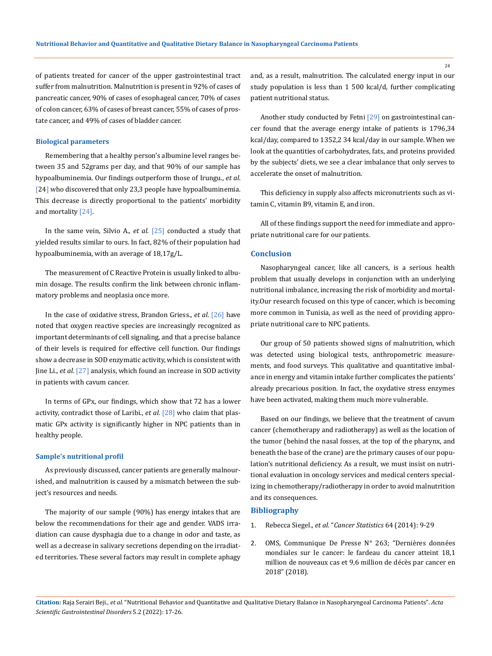of patients treated for cancer of the upper gastrointestinal tract suffer from malnutrition. Malnutrition is present in 92% of cases of pancreatic cancer, 90% of cases of esophageal cancer, 70% of cases of colon cancer, 63% of cases of breast cancer, 55% of cases of prostate cancer, and 49% of cases of bladder cancer.

#### **Biological parameters**

Remembering that a healthy person's albumine level ranges between 35 and 52grams per day, and that 90% of our sample has hypoalbuminemia. Our findings outperform those of Irungu., *et al*. [24] who discovered that only 23,3 people have hypoalbuminemia. This decrease is directly proportional to the patients' morbidity and mortality [24].

In the same vein, Silvio A., *et al*. [25] conducted a study that yielded results similar to ours. In fact, 82% of their population had hypoalbuminemia, with an average of 18,17g/L.

The measurement of C Reactive Protein is usually linked to albumin dosage. The results confirm the link between chronic inflammatory problems and neoplasia once more.

In the case of oxidative stress, Brandon Griess., *et al*. [26] have noted that oxygen reactive species are increasingly recognized as important determinants of cell signaling, and that a precise balance of their levels is required for effective cell function. Our findings show a decrease in SOD enzymatic activity, which is consistent with Jine Li., *et al*. [27] analysis, which found an increase in SOD activity in patients with cavum cancer.

In terms of GPx, our findings, which show that 72 has a lower activity, contradict those of Laribi., *et al.* [28] who claim that plasmatic GPx activity is significantly higher in NPC patients than in healthy people.

#### **Sample's nutritional profil**

As previously discussed, cancer patients are generally malnourished, and malnutrition is caused by a mismatch between the subject's resources and needs.

The majority of our sample (90%) has energy intakes that are below the recommendations for their age and gender. VADS irradiation can cause dysphagia due to a change in odor and taste, as well as a decrease in salivary secretions depending on the irradiated territories. These several factors may result in complete aphagy and, as a result, malnutrition. The calculated energy input in our study population is less than 1 500 kcal/d, further complicating patient nutritional status.

Another study conducted by Fetni [29] on gastrointestinal cancer found that the average energy intake of patients is 1796,34 kcal/day, compared to 1352,2 34 kcal/day in our sample. When we look at the quantities of carbohydrates, fats, and proteins provided by the subjects' diets, we see a clear imbalance that only serves to accelerate the onset of malnutrition.

This deficiency in supply also affects micronutrients such as vitamin C, vitamin B9, vitamin E, and iron.

All of these findings support the need for immediate and appropriate nutritional care for our patients.

### **Conclusion**

Nasopharyngeal cancer, like all cancers, is a serious health problem that usually develops in conjunction with an underlying nutritional imbalance, increasing the risk of morbidity and mortality.Our research focused on this type of cancer, which is becoming more common in Tunisia, as well as the need of providing appropriate nutritional care to NPC patients.

Our group of 50 patients showed signs of malnutrition, which was detected using biological tests, anthropometric measurements, and food surveys. This qualitative and quantitative imbalance in energy and vitamin intake further complicates the patients' already precarious position. In fact, the oxydative stress enzymes have been activated, making them much more vulnerable.

Based on our findings, we believe that the treatment of cavum cancer (chemotherapy and radiotherapy) as well as the location of the tumor (behind the nasal fosses, at the top of the pharynx, and beneath the base of the crane) are the primary causes of our population's nutritional deficiency. As a result, we must insist on nutritional evaluation in oncology services and medical centers specializing in chemotherapy/radiotherapy in order to avoid malnutrition and its consequences.

#### **Bibliography**

- 1. Rebecca Siegel., *et al.* "*Cancer Statistics* 64 (2014): 9-29
- 2. [OMS, Communique De Presse N° 263; "Dernières données](https://www.iarc.who.int/fr/featured-news/dernieres-donnees-mondiales-sur-le-cancer-le-fardeau-du-cancer-atteint-181-millions-de-nouveaux-cas-et-96-millions-de-deces-par-cancer-en-2018/) [mondiales sur le cancer: le fardeau du cancer atteint 18,1](https://www.iarc.who.int/fr/featured-news/dernieres-donnees-mondiales-sur-le-cancer-le-fardeau-du-cancer-atteint-181-millions-de-nouveaux-cas-et-96-millions-de-deces-par-cancer-en-2018/) [million de nouveaux cas et 9,6 million de décès par cancer en](https://www.iarc.who.int/fr/featured-news/dernieres-donnees-mondiales-sur-le-cancer-le-fardeau-du-cancer-atteint-181-millions-de-nouveaux-cas-et-96-millions-de-deces-par-cancer-en-2018/) [2018" \(2018\).](https://www.iarc.who.int/fr/featured-news/dernieres-donnees-mondiales-sur-le-cancer-le-fardeau-du-cancer-atteint-181-millions-de-nouveaux-cas-et-96-millions-de-deces-par-cancer-en-2018/)

**Citation:** Raja Serairi Beji*., et al.* "Nutritional Behavior and Quantitative and Qualitative Dietary Balance in Nasopharyngeal Carcinoma Patients". *Acta Scientific Gastrointestinal Disorders* 5.2 (2022): 17-26.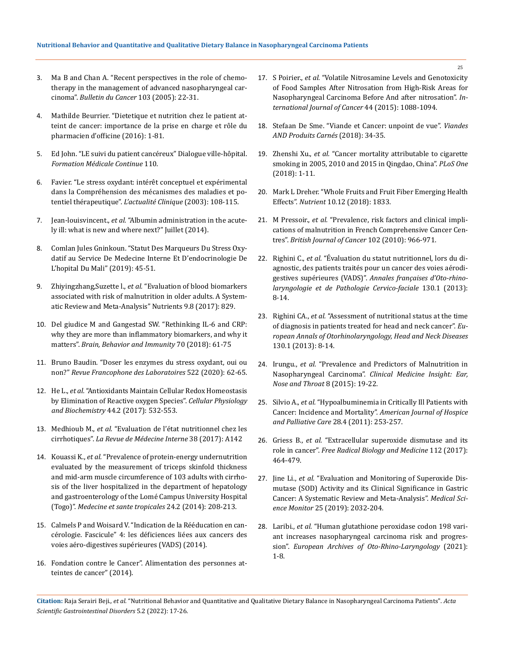- 3. [Ma B and Chan A. "Recent perspectives in the role of chemo](https://pubmed.ncbi.nlm.nih.gov/15565580/)[therapy in the management of advanced nasopharyngeal car](https://pubmed.ncbi.nlm.nih.gov/15565580/)cinoma". *[Bulletin du Cancer](https://pubmed.ncbi.nlm.nih.gov/15565580/)* 103 (2005): 22-31.
- 4. Mathilde Beurrier. "Dietetique et nutrition chez le patient atteint de cancer: importance de la prise en charge et rôle du pharmacien d'officine (2016): 1-81.
- 5. [Ed John. "LE suivi du patient cancéreux" Dialogue ville-hôpital.](https://www.jle.com/fr/ouvrages/e-docs/le_suivi_des_patients_cancereux_20101/ouvrage.phtml)  *[Formation Médicale Continue](https://www.jle.com/fr/ouvrages/e-docs/le_suivi_des_patients_cancereux_20101/ouvrage.phtml)* 110.
- 6. [Favier. "Le stress oxydant: intérêt conceptuel et expérimental](https://new.societechimiquedefrance.fr/numero/le-stress-oxydant-interet-conceptuel-et-experimental-dans-la-comprehension-des-mecanismes-des-maladies-et-potentiel-therapeutique-p108-n270/?lang=en)  [dans la Compréhension des mécanismes des maladies et po](https://new.societechimiquedefrance.fr/numero/le-stress-oxydant-interet-conceptuel-et-experimental-dans-la-comprehension-des-mecanismes-des-maladies-et-potentiel-therapeutique-p108-n270/?lang=en)tentiel thérapeutique". *[L'actualité Clinique](https://new.societechimiquedefrance.fr/numero/le-stress-oxydant-interet-conceptuel-et-experimental-dans-la-comprehension-des-mecanismes-des-maladies-et-potentiel-therapeutique-p108-n270/?lang=en)* (2003): 108-115.
- 7. Jean-louisvincent., *et al.* ["Albumin administration in the acute](https://ccforum.biomedcentral.com/articles/10.1186/cc13991)[ly ill: what is new and where next?" Juillet \(2014\).](https://ccforum.biomedcentral.com/articles/10.1186/cc13991)
- 8. [Comlan Jules Gninkoun. "Statut Des Marqueurs Du Stress Oxy](http://www.malimedical.org/wp-content/uploads/2019/07/Statut-des-marqueurs-du-stress-oxydatif-au-service-de-medecine-interne-et-d-endocrinologie-de-l-hopital-du-Mali.pdf)[datif au Service De Medecine Interne Et D'endocrinologie De](http://www.malimedical.org/wp-content/uploads/2019/07/Statut-des-marqueurs-du-stress-oxydatif-au-service-de-medecine-interne-et-d-endocrinologie-de-l-hopital-du-Mali.pdf)  [L'hopital Du Mali" \(2019\): 45-51.](http://www.malimedical.org/wp-content/uploads/2019/07/Statut-des-marqueurs-du-stress-oxydatif-au-service-de-medecine-interne-et-d-endocrinologie-de-l-hopital-du-Mali.pdf)
- 9. Zhiyingzhang,Suzette l., *et al.* ["Evaluation of blood biomarkers](https://pubmed.ncbi.nlm.nih.gov/28771192/)  [associated with risk of malnutrition in older adults. A System](https://pubmed.ncbi.nlm.nih.gov/28771192/)[atic Review and Meta-Analysis" Nutrients 9.8 \(2017\): 829.](https://pubmed.ncbi.nlm.nih.gov/28771192/)
- 10. [Del giudice M and Gangestad SW. "Rethinking IL-6 and CRP:](https://pubmed.ncbi.nlm.nih.gov/29499302/)  [why they are more than inflammatory biomarkers, and why it](https://pubmed.ncbi.nlm.nih.gov/29499302/)  matters". *[Brain, Behavior and Immunity](https://pubmed.ncbi.nlm.nih.gov/29499302/)* 70 (2018): 61-75
- 11. [Bruno Baudin. "Doser les enzymes du stress oxydant, oui ou](https://www.sciencedirect.com/science/article/abs/pii/S1773035X20301647)  non?" *[Revue Francophone des Laboratoires](https://www.sciencedirect.com/science/article/abs/pii/S1773035X20301647)* 522 (2020): 62-65.
- 12. He L., *et al.* ["Antioxidants Maintain Cellular Redox Homeostasis](https://pubmed.ncbi.nlm.nih.gov/29145191/)  [by Elimination of Reactive oxygen Species".](https://pubmed.ncbi.nlm.nih.gov/29145191/) *Cellular Physiology and Biochemistry* [44.2 \(2017\): 532-553.](https://pubmed.ncbi.nlm.nih.gov/29145191/)
- 13. Medhioub M., *et al.* ["Evaluation de l'état nutritionnel chez les](https://www.sciencedirect.com/science/article/abs/pii/S0248866317307440)  cirrhotiques". *[La Revue de Médecine Interne](https://www.sciencedirect.com/science/article/abs/pii/S0248866317307440)* 38 (2017): A142
- 14. Kouassi K., *et al.* ["Prevalence of protein-energy undernutrition](https://pubmed.ncbi.nlm.nih.gov/24919209/)  [evaluated by the measurement of triceps skinfold thickness](https://pubmed.ncbi.nlm.nih.gov/24919209/)  [and mid-arm muscle circumference of 103 adults with cirrho](https://pubmed.ncbi.nlm.nih.gov/24919209/)[sis of the liver hospitalized in the department of hepatology](https://pubmed.ncbi.nlm.nih.gov/24919209/)  [and gastroenterology of the Lomé Campus University Hospital](https://pubmed.ncbi.nlm.nih.gov/24919209/)  (Togo)". *[Medecine et sante tropicales](https://pubmed.ncbi.nlm.nih.gov/24919209/)* 24.2 (2014): 208-213.
- 15. [Calmels P and Woisard V. "Indication de la Rééducation en can](https://www.afsos.org/fiche-referentiel/indication-de-reeducation-cancerologie/)[cérologie. Fascicule" 4: les déficiences liées aux cancers des](https://www.afsos.org/fiche-referentiel/indication-de-reeducation-cancerologie/)  [voies aéro-digestives supérieures \(VADS\) \(2014\).](https://www.afsos.org/fiche-referentiel/indication-de-reeducation-cancerologie/)
- 16. [Fondation contre le Cancer". Alimentation des personnes at](https://www.passeportsante.net/fr/Nutrition/Dietes/Fiche.aspx?doc=cancer_diete)[teintes de cancer" \(2014\).](https://www.passeportsante.net/fr/Nutrition/Dietes/Fiche.aspx?doc=cancer_diete)
- 17. S Poirier., *et al.* ["Volatile Nitrosamine Levels and Genotoxicity](https://pubmed.ncbi.nlm.nih.gov/2558079/)  [of Food Samples After Nitrosation from High-Risk Areas for](https://pubmed.ncbi.nlm.nih.gov/2558079/)  [Nasopharyngeal Carcinoma Before And after nitrosation".](https://pubmed.ncbi.nlm.nih.gov/2558079/) *In[ternational Journal of Cancer](https://pubmed.ncbi.nlm.nih.gov/2558079/)* 44 (2015): 1088-1094.
- 18. [Stefaan De Sme. "Viande et Cancer: unpoint de vue".](https://www.researchgate.net/publication/328851829_Viandes_et_cancer_un_point_de_vue) *Viandes [AND Produits Carnés](https://www.researchgate.net/publication/328851829_Viandes_et_cancer_un_point_de_vue)* (2018): 34-35.
- 19. Zhenshi Xu., *et al.* ["Cancer mortality attributable to cigarette](https://pubmed.ncbi.nlm.nih.gov/30235293/)  [smoking in 2005, 2010 and 2015 in Qingdao, China".](https://pubmed.ncbi.nlm.nih.gov/30235293/) *PLoS One* [\(2018\): 1-11.](https://pubmed.ncbi.nlm.nih.gov/30235293/)
- 20. [Mark L Dreher. "Whole Fruits and Fruit Fiber Emerging Health](https://pubmed.ncbi.nlm.nih.gov/30487459/)  Effects". *Nutrient* [10.12 \(2018\): 1833.](https://pubmed.ncbi.nlm.nih.gov/30487459/)
- 21. M Pressoir., *et al.* ["Prevalence, risk factors and clinical impli](https://www.ncbi.nlm.nih.gov/pmc/articles/PMC2844030/)[cations of malnutrition in French Comprehensive Cancer Cen](https://www.ncbi.nlm.nih.gov/pmc/articles/PMC2844030/)tres". *[British Journal of Cancer](https://www.ncbi.nlm.nih.gov/pmc/articles/PMC2844030/)* 102 (2010): 966-971.
- 22. Righini C., *et al.* ["Évaluation du statut nutritionnel, lors du di](https://www.sciencedirect.com/science/article/abs/pii/S1879726112006158)[agnostic, des patients traités pour un cancer des voies aérodi](https://www.sciencedirect.com/science/article/abs/pii/S1879726112006158)gestives supérieures (VADS)". *[Annales françaises d'Oto-rhino](https://www.sciencedirect.com/science/article/abs/pii/S1879726112006158)[laryngologie et de Pathologie Cervico-faciale](https://www.sciencedirect.com/science/article/abs/pii/S1879726112006158)* 130.1 (2013): [8-14.](https://www.sciencedirect.com/science/article/abs/pii/S1879726112006158)
- 23. Righini CA., *et al.* ["Assessment of nutritional status at the time](https://pubmed.ncbi.nlm.nih.gov/23266003/)  [of diagnosis in patients treated for head and neck cancer".](https://pubmed.ncbi.nlm.nih.gov/23266003/) *Eu[ropean Annals of Otorhinolaryngology, Head and Neck Diseases](https://pubmed.ncbi.nlm.nih.gov/23266003/)* [130.1 \(2013\): 8-14.](https://pubmed.ncbi.nlm.nih.gov/23266003/)
- 24. Irungu., *et al.* ["Prevalence and Predictors of Malnutrition in](https://pubmed.ncbi.nlm.nih.gov/26056508/)  Nasopharyngeal Carcinoma". *[Clinical Medicine Insight: Ear,](https://pubmed.ncbi.nlm.nih.gov/26056508/)  [Nose and Throat](https://pubmed.ncbi.nlm.nih.gov/26056508/)* 8 (2015): 19-22.
- 25. Silvio A., *et al.* ["Hypoalbuminemia in Critically Ill Patients with](https://pubmed.ncbi.nlm.nih.gov/21057142/)  Cancer: Incidence and Mortality". *[American Journal of Hospice](https://pubmed.ncbi.nlm.nih.gov/21057142/)  [and Palliative Care](https://pubmed.ncbi.nlm.nih.gov/21057142/)* 28.4 (2011): 253-257.
- 26. Griess B., *et al.* ["Extracellular superoxide dismutase and its](https://pubmed.ncbi.nlm.nih.gov/28842347/)  role in cancer". *[Free Radical Biology and Medicine](https://pubmed.ncbi.nlm.nih.gov/28842347/)* 112 (2017): [464-479.](https://pubmed.ncbi.nlm.nih.gov/28842347/)
- 27. Jine Li., *et al.* ["Evaluation and Monitoring of Superoxide Dis](https://www.ncbi.nlm.nih.gov/pmc/articles/PMC6436205/)[mutase \(SOD\) Activity and its Clinical Significance in Gastric](https://www.ncbi.nlm.nih.gov/pmc/articles/PMC6436205/)  [Cancer: A Systematic Review and Meta-Analysis".](https://www.ncbi.nlm.nih.gov/pmc/articles/PMC6436205/) *Medical Science Monitor* [25 \(2019\): 2032-204.](https://www.ncbi.nlm.nih.gov/pmc/articles/PMC6436205/)
- 28. Laribi., *et al.* ["Human glutathione peroxidase codon 198 vari](https://pubmed.ncbi.nlm.nih.gov/33616746/)[ant increases nasopharyngeal carcinoma risk and progres](https://pubmed.ncbi.nlm.nih.gov/33616746/)sion". *[European Archives of Oto-Rhino-Laryngology](https://pubmed.ncbi.nlm.nih.gov/33616746/)* (2021): [1-8.](https://pubmed.ncbi.nlm.nih.gov/33616746/)

**Citation:** Raja Serairi Beji*., et al.* "Nutritional Behavior and Quantitative and Qualitative Dietary Balance in Nasopharyngeal Carcinoma Patients". *Acta Scientific Gastrointestinal Disorders* 5.2 (2022): 17-26.